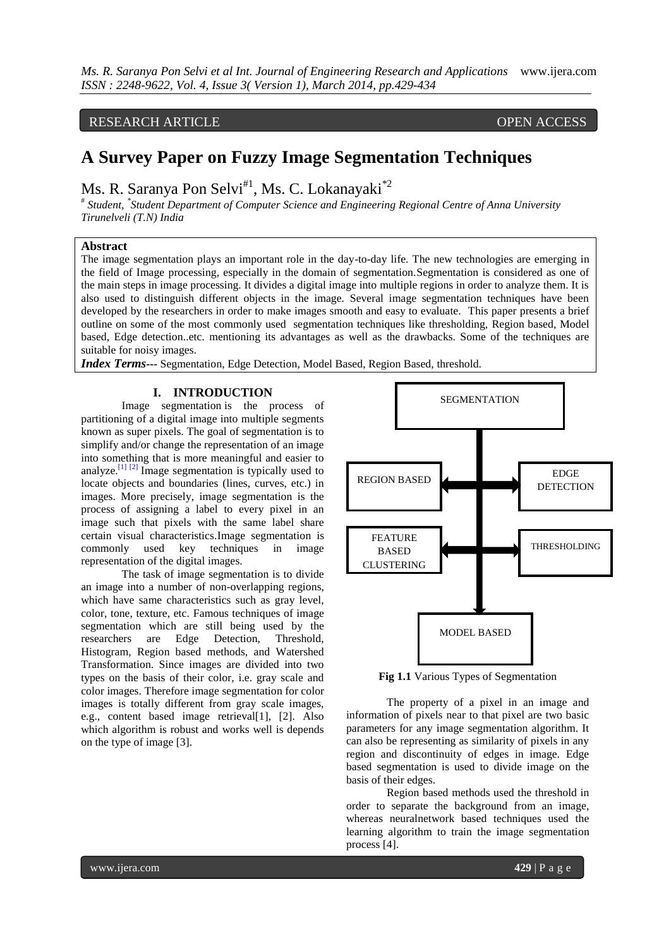# RESEARCH ARTICLE OPEN ACCESS

# **A Survey Paper on Fuzzy Image Segmentation Techniques**

Ms. R. Saranya Pon Selvi<sup>#1</sup>, Ms. C. Lokanayaki<sup>\*2</sup>

# *Student, \* Student Department of Computer Science and Engineering Regional Centre of Anna University Tirunelveli (T.N) India*

# **Abstract**

The image segmentation plays an important role in the day-to-day life. The new technologies are emerging in the field of Image processing, especially in the domain of segmentation.Segmentation is considered as one of the main steps in image processing. It divides a digital image into multiple regions in order to analyze them. It is also used to distinguish different objects in the image. Several image segmentation techniques have been developed by the researchers in order to make images smooth and easy to evaluate. This paper presents a brief outline on some of the most commonly used segmentation techniques like thresholding, Region based, Model based, Edge detection..etc. mentioning its advantages as well as the drawbacks. Some of the techniques are suitable for noisy images.

*Index Terms***---** Segmentation, Edge Detection, Model Based, Region Based, threshold.

# **I. INTRODUCTION**

Image segmentation is the process of partitioning of a digital image into multiple segments known as super pixels. The goal of segmentation is to simplify and/or change the representation of an image into something that is more meaningful and easier to analyze.<sup>[\[1\]](http://en.wikipedia.org/wiki/Image_segmentation#cite_note-computervision-1) [\[2\]](http://en.wikipedia.org/wiki/Image_segmentation#cite_note-2)</sup> Image segmentation is typically used to locate objects and boundaries (lines, curves, etc.) in images. More precisely, image segmentation is the process of assigning a label to every pixel in an image such that pixels with the same label share certain visual characteristics.Image segmentation is commonly used key techniques in image representation of the digital images.

The task of image segmentation is to divide an image into a number of non-overlapping regions, which have same characteristics such as gray level, color, tone, texture, etc. Famous techniques of image segmentation which are still being used by the researchers are Edge Detection, Threshold, researchers are Edge Detection, Histogram, Region based methods, and Watershed Transformation. Since images are divided into two types on the basis of their color, i.e. gray scale and color images. Therefore image segmentation for color images is totally different from gray scale images, e.g., content based image retrieval[1], [2]. Also which algorithm is robust and works well is depends on the type of image [3].



**Fig 1.1** Various Types of Segmentation

The property of a pixel in an image and information of pixels near to that pixel are two basic parameters for any image segmentation algorithm. It can also be representing as similarity of pixels in any region and discontinuity of edges in image. Edge based segmentation is used to divide image on the basis of their edges.

Region based methods used the threshold in order to separate the background from an image, whereas neuralnetwork based techniques used the learning algorithm to train the image segmentation process [4].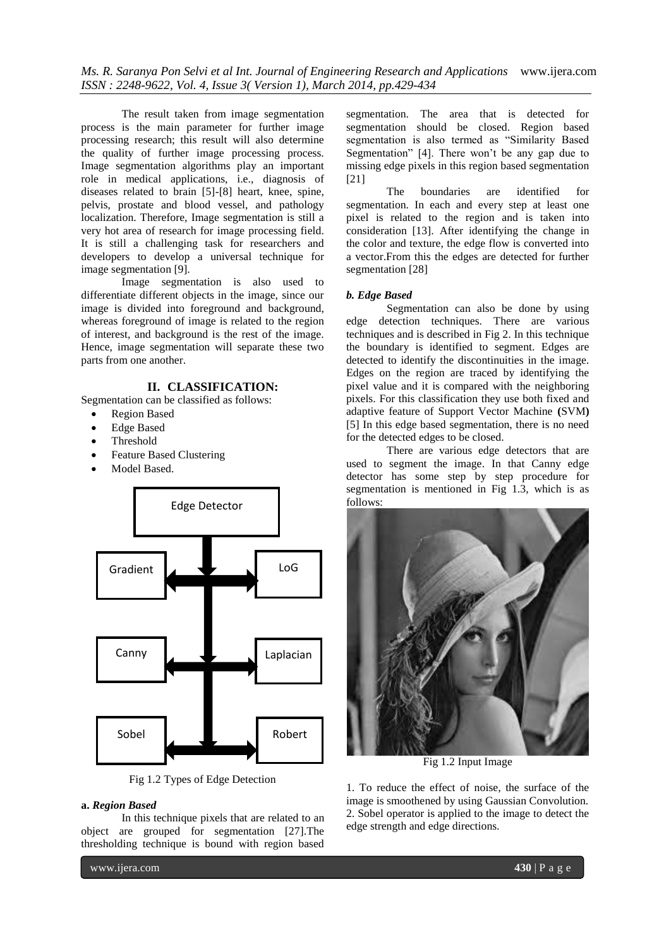*Ms. R. Saranya Pon Selvi et al Int. Journal of Engineering Research and Applications* www.ijera.com *ISSN : 2248-9622, Vol. 4, Issue 3( Version 1), March 2014, pp.429-434*

The result taken from image segmentation process is the main parameter for further image processing research; this result will also determine the quality of further image processing process. Image segmentation algorithms play an important role in medical applications, i.e., diagnosis of diseases related to brain [5]-[8] heart, knee, spine, pelvis, prostate and blood vessel, and pathology localization. Therefore, Image segmentation is still a very hot area of research for image processing field. It is still a challenging task for researchers and developers to develop a universal technique for image segmentation [9].

Image segmentation is also used to differentiate different objects in the image, since our image is divided into foreground and background, whereas foreground of image is related to the region of interest, and background is the rest of the image. Hence, image segmentation will separate these two parts from one another.

# **II. CLASSIFICATION:**

Segmentation can be classified as follows:

- Region Based
- Edge Based
- Threshold
- Feature Based Clustering
- Model Based.



Fig 1.2 Types of Edge Detection

# **a.** *Region Based*

In this technique pixels that are related to an object are grouped for segmentation [27].The thresholding technique is bound with region based

segmentation. The area that is detected for segmentation should be closed. Region based segmentation is also termed as "Similarity Based Segmentation" [4]. There won't be any gap due to missing edge pixels in this region based segmentation [21]

The boundaries are identified for segmentation. In each and every step at least one pixel is related to the region and is taken into consideration [13]. After identifying the change in the color and texture, the edge flow is converted into a vector.From this the edges are detected for further segmentation [28]

#### *b. Edge Based*

Segmentation can also be done by using edge detection techniques. There are various techniques and is described in Fig 2. In this technique the boundary is identified to segment. Edges are detected to identify the discontinuities in the image. Edges on the region are traced by identifying the pixel value and it is compared with the neighboring pixels. For this classification they use both fixed and adaptive feature of Support Vector Machine **(**SVM**)**  [5] In this edge based segmentation, there is no need for the detected edges to be closed.

There are various edge detectors that are used to segment the image. In that Canny edge detector has some step by step procedure for segmentation is mentioned in Fig 1.3, which is as follows:



Fig 1.2 Input Image

1. To reduce the effect of noise, the surface of the image is smoothened by using Gaussian Convolution. 2. Sobel operator is applied to the image to detect the edge strength and edge directions.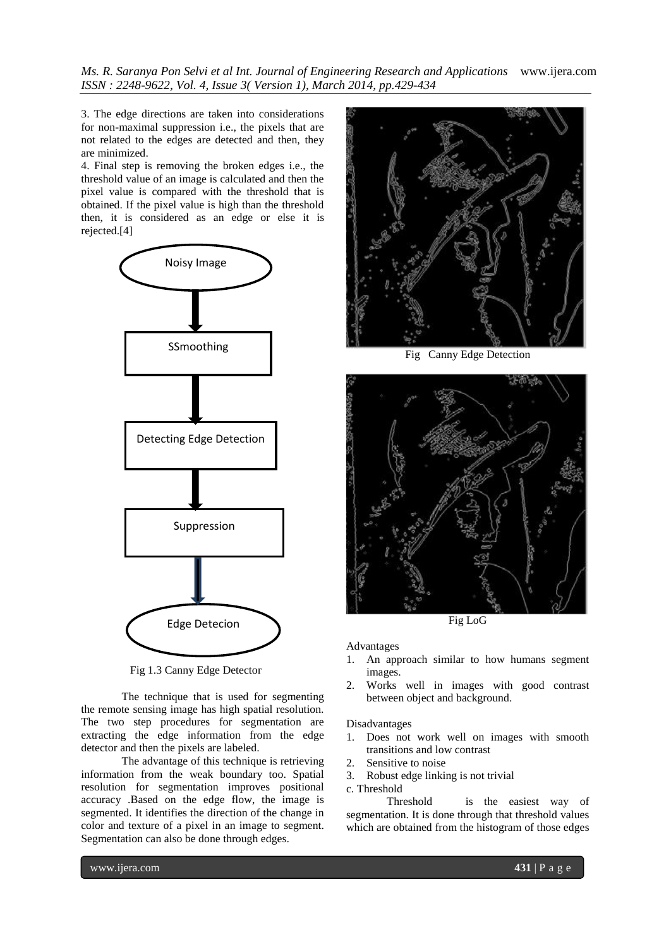*Ms. R. Saranya Pon Selvi et al Int. Journal of Engineering Research and Applications* www.ijera.com *ISSN : 2248-9622, Vol. 4, Issue 3( Version 1), March 2014, pp.429-434*

3. The edge directions are taken into considerations for non-maximal suppression i.e., the pixels that are not related to the edges are detected and then, they are minimized.

4. Final step is removing the broken edges i.e., the threshold value of an image is calculated and then the pixel value is compared with the threshold that is obtained. If the pixel value is high than the threshold then, it is considered as an edge or else it is rejected.[4]



Fig 1.3 Canny Edge Detector

The technique that is used for segmenting the remote sensing image has high spatial resolution. The two step procedures for segmentation are extracting the edge information from the edge detector and then the pixels are labeled.

The advantage of this technique is retrieving information from the weak boundary too. Spatial resolution for segmentation improves positional accuracy .Based on the edge flow, the image is segmented. It identifies the direction of the change in color and texture of a pixel in an image to segment. Segmentation can also be done through edges.



Fig Canny Edge Detection



Fig LoG

#### Advantages

- 1. An approach similar to how humans segment images.
- 2. Works well in images with good contrast between object and background.

#### Disadvantages

- 1. Does not work well on images with smooth transitions and low contrast
- 2. Sensitive to noise
- 3. Robust edge linking is not trivial
- c. Threshold

Threshold is the easiest way of segmentation. It is done through that threshold values which are obtained from the histogram of those edges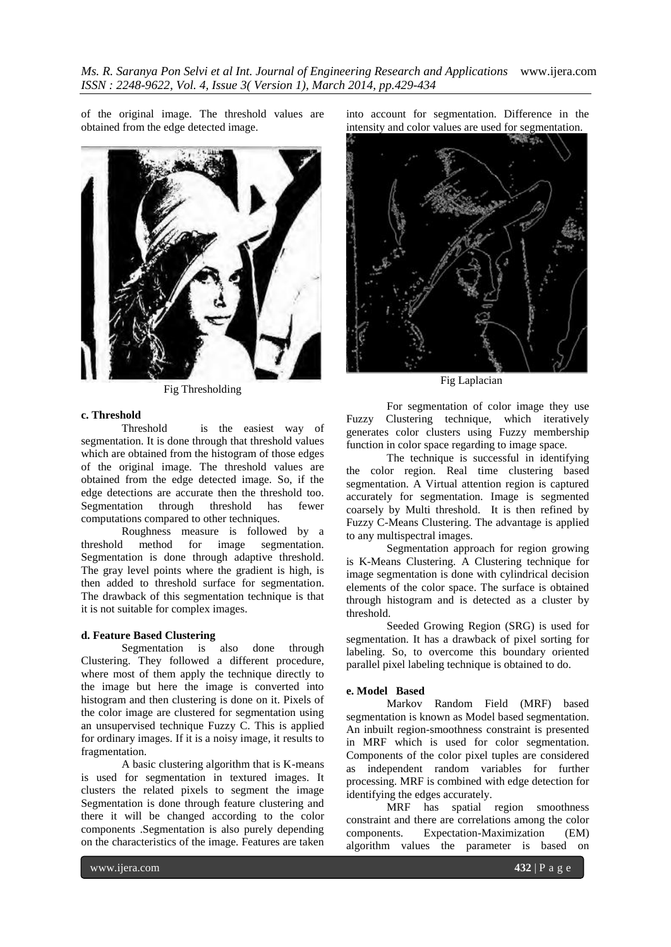*Ms. R. Saranya Pon Selvi et al Int. Journal of Engineering Research and Applications* www.ijera.com *ISSN : 2248-9622, Vol. 4, Issue 3( Version 1), March 2014, pp.429-434*

of the original image. The threshold values are obtained from the edge detected image.



Fig Thresholding

### **c. Threshold**

Threshold is the easiest way of segmentation. It is done through that threshold values which are obtained from the histogram of those edges of the original image. The threshold values are obtained from the edge detected image. So, if the edge detections are accurate then the threshold too. Segmentation through threshold has fewer computations compared to other techniques.

Roughness measure is followed by a threshold method for image segmentation. Segmentation is done through adaptive threshold. The gray level points where the gradient is high, is then added to threshold surface for segmentation. The drawback of this segmentation technique is that it is not suitable for complex images.

## **d. Feature Based Clustering**

Segmentation is also done through Clustering. They followed a different procedure, where most of them apply the technique directly to the image but here the image is converted into histogram and then clustering is done on it. Pixels of the color image are clustered for segmentation using an unsupervised technique Fuzzy C. This is applied for ordinary images. If it is a noisy image, it results to fragmentation.

A basic clustering algorithm that is K-means is used for segmentation in textured images. It clusters the related pixels to segment the image Segmentation is done through feature clustering and there it will be changed according to the color components .Segmentation is also purely depending on the characteristics of the image. Features are taken

into account for segmentation. Difference in the intensity and color values are used for segmentation.



Fig Laplacian

For segmentation of color image they use Fuzzy Clustering technique, which iteratively generates color clusters using Fuzzy membership function in color space regarding to image space.

The technique is successful in identifying the color region. Real time clustering based segmentation. A Virtual attention region is captured accurately for segmentation. Image is segmented coarsely by Multi threshold. It is then refined by Fuzzy C-Means Clustering. The advantage is applied to any multispectral images.

Segmentation approach for region growing is K-Means Clustering. A Clustering technique for image segmentation is done with cylindrical decision elements of the color space. The surface is obtained through histogram and is detected as a cluster by threshold.

Seeded Growing Region (SRG) is used for segmentation. It has a drawback of pixel sorting for labeling. So, to overcome this boundary oriented parallel pixel labeling technique is obtained to do.

#### **e. Model Based**

Markov Random Field (MRF) based segmentation is known as Model based segmentation. An inbuilt region-smoothness constraint is presented in MRF which is used for color segmentation. Components of the color pixel tuples are considered as independent random variables for further processing. MRF is combined with edge detection for identifying the edges accurately.

MRF has spatial region smoothness constraint and there are correlations among the color components. Expectation-Maximization (EM) algorithm values the parameter is based on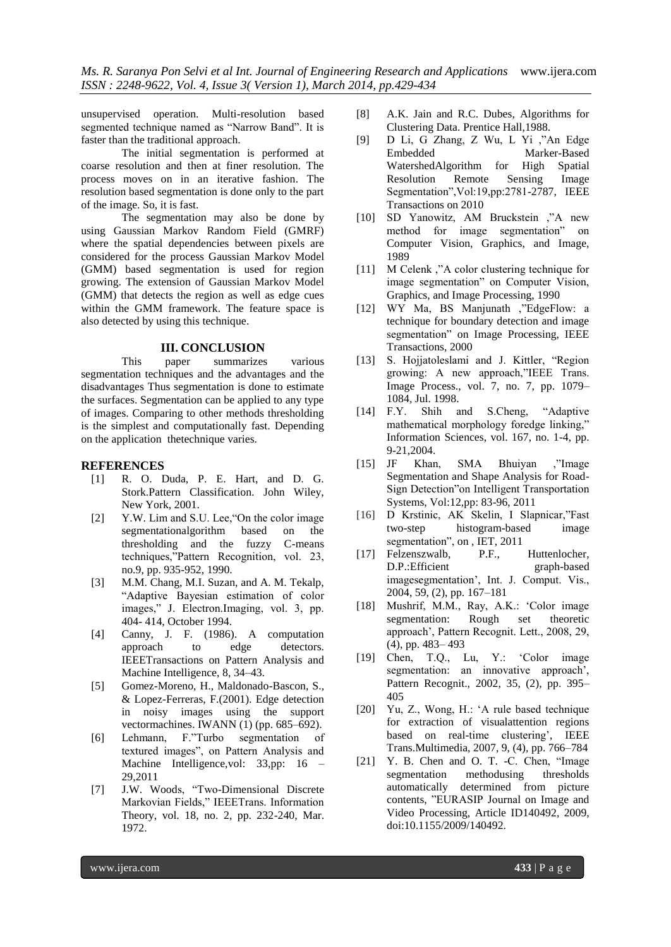unsupervised operation. Multi-resolution based segmented technique named as "Narrow Band". It is faster than the traditional approach.

The initial segmentation is performed at coarse resolution and then at finer resolution. The process moves on in an iterative fashion. The resolution based segmentation is done only to the part of the image. So, it is fast.

The segmentation may also be done by using Gaussian Markov Random Field (GMRF) where the spatial dependencies between pixels are considered for the process Gaussian Markov Model (GMM) based segmentation is used for region growing. The extension of Gaussian Markov Model (GMM) that detects the region as well as edge cues within the GMM framework. The feature space is also detected by using this technique.

# **III. CONCLUSION**

This paper summarizes various segmentation techniques and the advantages and the disadvantages Thus segmentation is done to estimate the surfaces. Segmentation can be applied to any type of images. Comparing to other methods thresholding is the simplest and computationally fast. Depending on the application thetechnique varies.

# **REFERENCES**

- [1] R. O. Duda, P. E. Hart, and D. G. Stork.Pattern Classification. John Wiley, New York, 2001.
- [2] Y.W. Lim and S.U. Lee, "On the color image segmentationalgorithm based on the thresholding and the fuzzy C-means techniques,"Pattern Recognition, vol. 23, no.9, pp. 935-952, 1990.
- [3] M.M. Chang, M.I. Suzan, and A. M. Tekalp, "Adaptive Bayesian estimation of color images," J. Electron.Imaging, vol. 3, pp. 404- 414, October 1994.
- [4] Canny, J. F. (1986). A computation approach to edge detectors. IEEETransactions on Pattern Analysis and Machine Intelligence, 8, 34–43.
- [5] Gomez-Moreno, H., Maldonado-Bascon, S., & Lopez-Ferreras, F.(2001). Edge detection in noisy images using the support vectormachines. IWANN (1) (pp. 685–692).
- [6] Lehmann, F."Turbo segmentation of textured images", on Pattern Analysis and Machine Intelligence, vol: 33, pp: 16 – 29,2011
- [7] J.W. Woods, "Two-Dimensional Discrete Markovian Fields," IEEETrans. Information Theory, vol. 18, no. 2, pp. 232-240, Mar. 1972.
- [8] A.K. Jain and R.C. Dubes, Algorithms for Clustering Data. Prentice Hall,1988.
- [9] D Li, G Zhang, Z Wu, L Yi ,"An Edge Embedded Marker-Based WatershedAlgorithm for High Spatial Resolution Remote Sensing Image Segmentation",Vol:19,pp:2781-2787, IEEE Transactions on 2010
- [10] SD Yanowitz, AM Bruckstein ,"A new method for image segmentation" on Computer Vision, Graphics, and Image, 1989
- [11] M Celenk ,"A color clustering technique for image segmentation" on Computer Vision, Graphics, and Image Processing, 1990
- [12] WY Ma, BS Manjunath ,"EdgeFlow: a technique for boundary detection and image segmentation" on Image Processing, IEEE Transactions, 2000
- [13] S. Hojjatoleslami and J. Kittler, "Region growing: A new approach,"IEEE Trans. Image Process., vol. 7, no. 7, pp. 1079– 1084, Jul. 1998.
- [14] F.Y. Shih and S.Cheng, "Adaptive mathematical morphology foredge linking," Information Sciences, vol. 167, no. 1-4, pp. 9-21,2004.
- [15] JF Khan, SMA Bhuiyan ,"Image Segmentation and Shape Analysis for Road-Sign Detection"on Intelligent Transportation Systems, Vol:12,pp: 83-96, 2011
- [16] D Krstinic, AK Skelin, I Slapnicar,"Fast two-step histogram-based image segmentation", on , IET, 2011
- [17] Felzenszwalb, P.F., Huttenlocher, D.P.:Efficient graph-based imagesegmentation", Int. J. Comput. Vis., 2004, 59, (2), pp. 167–181
- [18] Mushrif, M.M., Ray, A.K.: "Color image segmentation: Rough set theoretic approach", Pattern Recognit. Lett., 2008, 29, (4), pp. 483– 493
- [19] Chen, T.Q., Lu, Y.: "Color image segmentation: an innovative approach', Pattern Recognit., 2002, 35, (2), pp. 395– 405
- [20] Yu, Z., Wong, H.: "A rule based technique for extraction of visualattention regions based on real-time clustering', IEEE Trans.Multimedia, 2007, 9, (4), pp. 766–784
- [21] Y. B. Chen and O. T. -C. Chen, "Image segmentation methodusing thresholds automatically determined from picture contents, "EURASIP Journal on Image and Video Processing, Article ID140492, 2009, doi:10.1155/2009/140492.